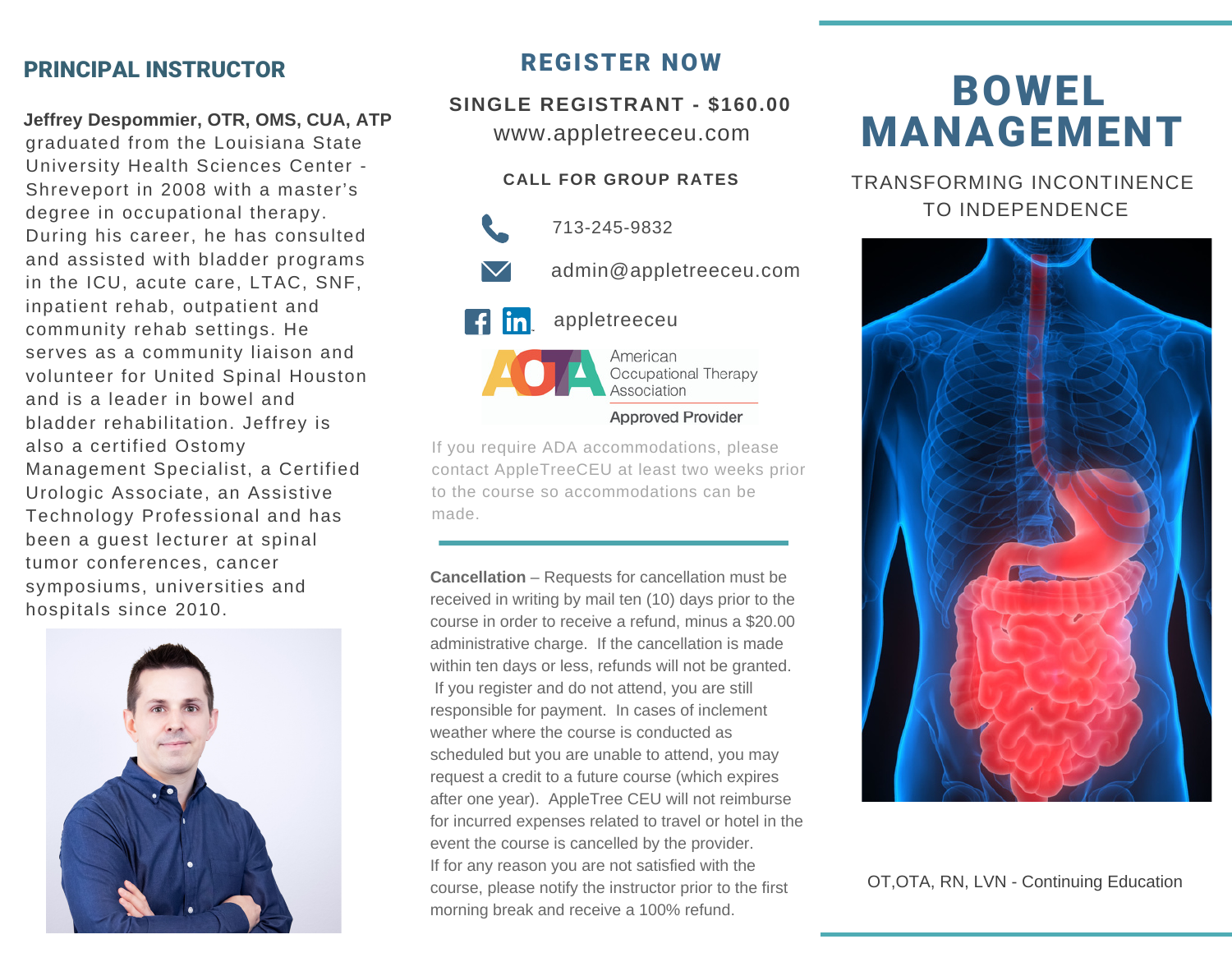## PRINCIPAL INSTRUCTOR

**Jeffrey Despommier, OTR, OMS, CUA, ATP**

graduated from the Louisiana State University Health Sciences Center - Shreveport in 2008 with a master's degree in occupational therapy. During his career, he has consulted and assisted with bladder programs in the ICU, acute care, LTAC, SNF, inpatient rehab, outpatient and community rehab settings. He serves as a community liaison and volunteer for United Spinal Houston and is a leader in bowel and bladder rehabilitation. Jeffrey is also a certified Ostomy Management Specialist, a Certified Urologic Associate, an Assistive Technology Professional and has been a guest lecturer at spinal tumor conferences, cancer symposiums, universities and hospitals since 2010.



# REGISTER NOW

www.appletreeceu.com **SINGLE REGISTRANT - \$160.00**

### **CALL FOR GROUP RATES**

713-245-9832 admin@appletreeceu.com appletreeceu American

> Occupational Therapy Association **Approved Provider**

If you require ADA accommodations, please contact AppleTreeCEU at least two weeks prior to the course so accommodations can be made.

**Cancellation** – Requests for cancellation must be received in writing by mail ten (10) days prior to the course in order to receive a refund, minus a \$20.00 administrative charge. If the cancellation is made within ten days or less, refunds will not be granted. If you register and do not attend, you are still responsible for payment. In cases of inclement weather where the course is conducted as scheduled but you are unable to attend, you may request a credit to a future course (which expires after one year). AppleTree CEU will not reimburse for incurred expenses related to travel or hotel in the event the course is cancelled by the provider. If for any reason you are not satisfied with the course, please notify the instructor prior to the first morning break and receive a 100% refund.

# BOWEL MANAGEMENT

TRANSFORMING INCONTINENCE TO INDEPENDENCE



OT,OTA, RN, LVN - Continuing Education